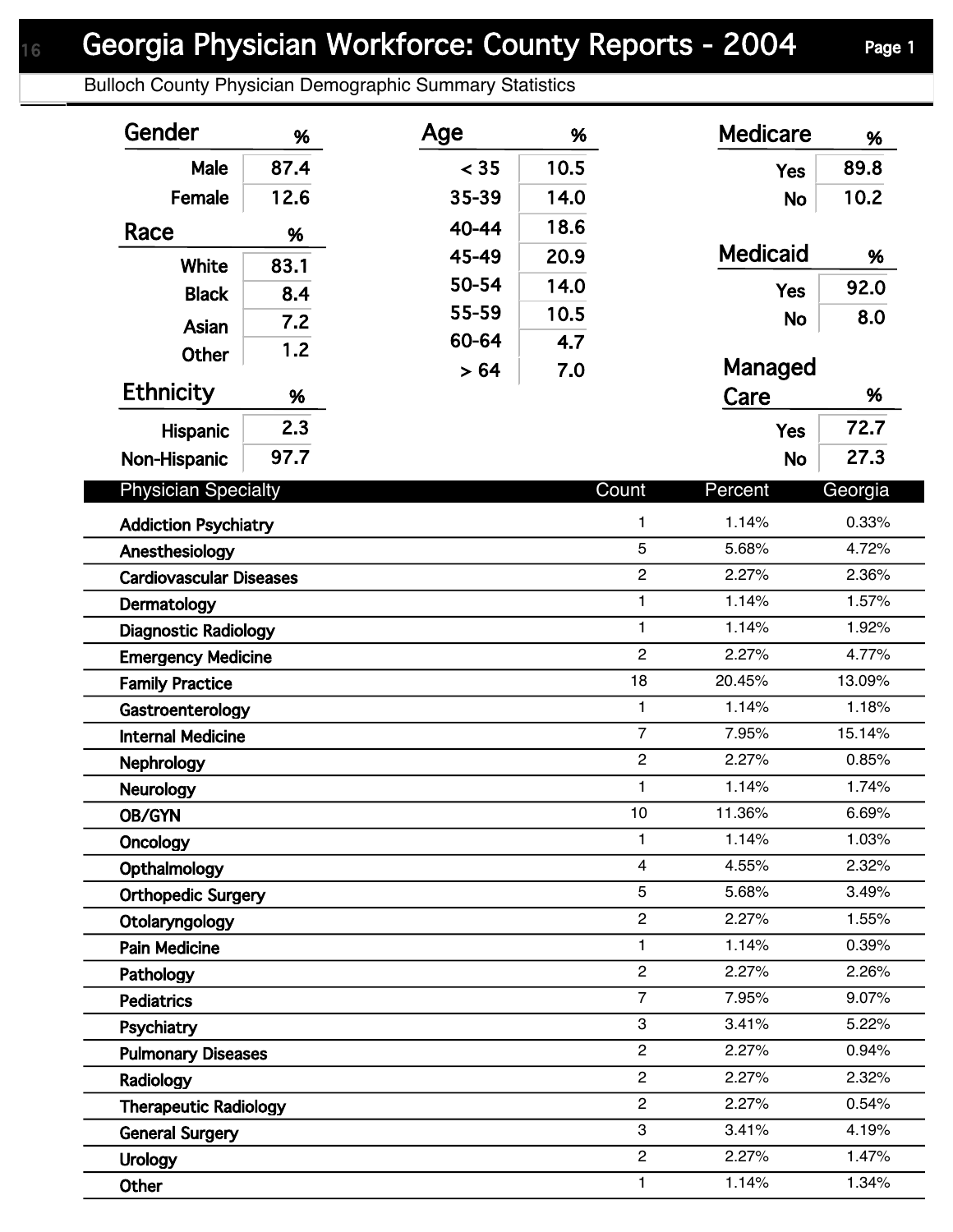## Georgia Physician Workforce: County Reports - 2004 Page 1

Bulloch County Physician Demographic Summary Statistics

| Gender                                           | %    | Age   | %                              |                | <b>Medicare</b> | %              |
|--------------------------------------------------|------|-------|--------------------------------|----------------|-----------------|----------------|
| Male                                             | 87.4 | < 35  | 10.5                           |                | <b>Yes</b>      | 89.8           |
| Female                                           | 12.6 | 35-39 | 14.0                           |                | <b>No</b>       | 10.2           |
| Race                                             | %    | 40-44 | 18.6                           |                |                 |                |
|                                                  |      | 45-49 | 20.9                           |                | <b>Medicaid</b> | %              |
| White                                            | 83.1 | 50-54 | 14.0                           |                |                 | 92.0           |
| <b>Black</b>                                     | 8.4  | 55-59 | 10.5                           |                | <b>Yes</b>      | 8.0            |
| Asian                                            | 7.2  | 60-64 | 4.7                            |                | <b>No</b>       |                |
| Other                                            | 1.2  | > 64  | 7.0                            |                | Managed         |                |
| <b>Ethnicity</b>                                 | %    |       |                                |                | Care            | %              |
| Hispanic                                         | 2.3  |       |                                |                | <b>Yes</b>      | 72.7           |
| Non-Hispanic                                     | 97.7 |       |                                |                | <b>No</b>       | 27.3           |
|                                                  |      |       |                                |                |                 |                |
| <b>Physician Specialty</b>                       |      |       |                                | Count          | Percent         | Georgia        |
| <b>Addiction Psychiatry</b>                      |      |       |                                | $\mathbf{1}$   | 1.14%           | 0.33%          |
| 5<br>Anesthesiology                              |      |       |                                | 5.68%          | 4.72%           |                |
| $\overline{c}$<br><b>Cardiovascular Diseases</b> |      |       |                                | 2.27%          | 2.36%           |                |
| $\mathbf{1}$<br>Dermatology                      |      |       |                                | 1.14%          | 1.57%           |                |
| $\mathbf{1}$<br><b>Diagnostic Radiology</b>      |      |       |                                | 1.14%          | 1.92%           |                |
| <b>Emergency Medicine</b>                        |      |       | $\overline{c}$                 | 2.27%          | 4.77%           |                |
| <b>Family Practice</b>                           |      |       | 18                             | 20.45%         | 13.09%          |                |
| Gastroenterology                                 |      |       | $\mathbf{1}$<br>$\overline{7}$ | 1.14%          | 1.18%           |                |
| <b>Internal Medicine</b>                         |      |       |                                | $\overline{c}$ | 7.95%<br>2.27%  | 15.14%         |
| <b>Nephrology</b>                                |      |       |                                | $\mathbf{1}$   | 1.14%           | 0.85%<br>1.74% |
| <b>Neurology</b>                                 |      |       |                                | 10             | 11.36%          | 6.69%          |
| OB/GYN                                           |      |       | $\mathbf{1}$                   | 1.14%          | 1.03%           |                |
| <b>Oncology</b>                                  |      |       | $\overline{4}$                 | 4.55%          | 2.32%           |                |
| Opthalmology<br><b>Orthopedic Surgery</b>        |      |       | 5                              | 5.68%          | 3.49%           |                |
| $\overline{c}$<br>Otolaryngology                 |      |       |                                | 2.27%          | 1.55%           |                |
| <b>Pain Medicine</b>                             |      |       |                                | $\mathbf{1}$   | 1.14%           | 0.39%          |
| Pathology                                        |      |       |                                | $\overline{c}$ | 2.27%           | 2.26%          |
| <b>Pediatrics</b>                                |      |       |                                | $\overline{7}$ | 7.95%           | 9.07%          |
| Psychiatry                                       |      |       |                                | 3              | 3.41%           | 5.22%          |
| <b>Pulmonary Diseases</b>                        |      |       |                                | $\overline{c}$ | 2.27%           | 0.94%          |
| Radiology                                        |      |       |                                | $\overline{2}$ | 2.27%           | 2.32%          |
| <b>Therapeutic Radiology</b>                     |      |       |                                | $\overline{2}$ | 2.27%           | 0.54%          |
| <b>General Surgery</b>                           |      |       |                                | 3              | 3.41%           | 4.19%          |
| <b>Urology</b>                                   |      |       |                                | $\overline{c}$ | 2.27%           | 1.47%          |
| Other                                            |      |       |                                | 1              | 1.14%           | 1.34%          |